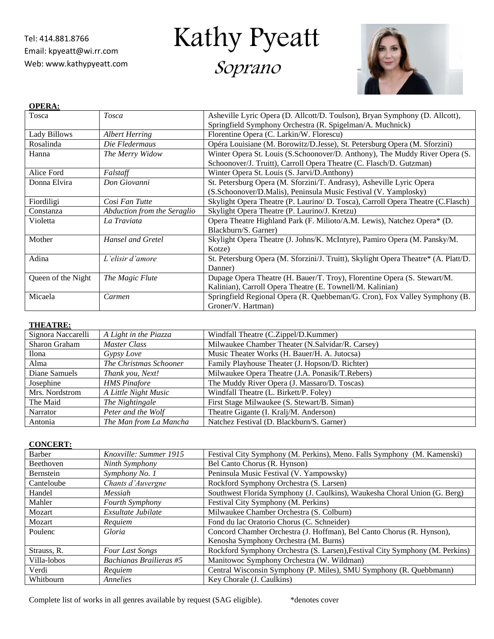Tel: 414.881.8766 Email: [kpyeatt@wi.rr.com](mailto:kpyeatt@wi.rr.com) Web: www.kathypyeatt.com Kathy Pyeatt

Soprano



| <b>OPERA:</b>      |                             |                                                                                    |  |  |
|--------------------|-----------------------------|------------------------------------------------------------------------------------|--|--|
| Tosca              | <b>Tosca</b>                | Asheville Lyric Opera (D. Allcott/D. Toulson), Bryan Symphony (D. Allcott),        |  |  |
|                    |                             | Springfield Symphony Orchestra (R. Spigelman/A. Muchnick)                          |  |  |
| Lady Billows       | <b>Albert Herring</b>       | Florentine Opera (C. Larkin/W. Florescu)                                           |  |  |
| Rosalinda          | Die Fledermaus              | Opéra Louisiane (M. Borowitz/D.Jesse), St. Petersburg Opera (M. Sforzini)          |  |  |
| Hanna              | The Merry Widow             | Winter Opera St. Louis (S.Schoonover/D. Anthony), The Muddy River Opera (S.        |  |  |
|                    |                             | Schoonover/J. Truitt), Carroll Opera Theatre (C. Flasch/D. Gutzman)                |  |  |
| Alice Ford         | Falstaff                    | Winter Opera St. Louis (S. Jarvi/D.Anthony)                                        |  |  |
| Donna Elvira       | Don Giovanni                | St. Petersburg Opera (M. Sforzini/T. Andrasy), Asheville Lyric Opera               |  |  |
|                    |                             | (S.Schoonover/D.Malis), Peninsula Music Festival (V. Yamplosky)                    |  |  |
| Fiordiligi         | Cosi Fan Tutte              | Skylight Opera Theatre (P. Laurino/ D. Tosca), Carroll Opera Theatre (C.Flasch)    |  |  |
| Constanza          | Abduction from the Seraglio | Skylight Opera Theatre (P. Laurino/J. Kretzu)                                      |  |  |
| Violetta           | La Traviata                 | Opera Theatre Highland Park (F. Milioto/A.M. Lewis), Natchez Opera* (D.            |  |  |
|                    |                             | Blackburn/S. Garner)                                                               |  |  |
| Mother             | Hansel and Gretel           | Skylight Opera Theatre (J. Johns/K. McIntyre), Pamiro Opera (M. Pansky/M.          |  |  |
|                    |                             | Kotze)                                                                             |  |  |
| Adina              | L'elisir d'amore            | St. Petersburg Opera (M. Sforzini/J. Truitt), Skylight Opera Theatre* (A. Platt/D. |  |  |
|                    |                             | Danner)                                                                            |  |  |
| Queen of the Night | The Magic Flute             | Dupage Opera Theatre (H. Bauer/T. Troy), Florentine Opera (S. Stewart/M.           |  |  |
|                    |                             | Kalinian), Carroll Opera Theatre (E. Townell/M. Kalinian)                          |  |  |
| Micaela            | Carmen                      | Springfield Regional Opera (R. Quebbeman/G. Cron), Fox Valley Symphony (B.         |  |  |
|                    |                             | Groner/V. Hartman)                                                                 |  |  |

## **THEATRE:**

| Signora Naccarelli | A Light in the Piazza  | Windfall Theatre (C.Zippel/D.Kummer)             |
|--------------------|------------------------|--------------------------------------------------|
| Sharon Graham      | Master Class           | Milwaukee Chamber Theater (N.Salvidar/R. Carsey) |
| Ilona              | Gypsy Love             | Music Theater Works (H. Bauer/H. A. Jutocsa)     |
| Alma               | The Christmas Schooner | Family Playhouse Theater (J. Hopson/D. Richter)  |
| Diane Samuels      | Thank you, Next!       | Milwaukee Opera Theatre (J.A. Ponasik/T.Rebers)  |
| Josephine          | <b>HMS</b> Pinafore    | The Muddy River Opera (J. Massaro/D. Toscas)     |
| Mrs. Nordstrom     | A Little Night Music   | Windfall Theatre (L. Birkett/P. Foley)           |
| The Maid           | The Nightingale        | First Stage Milwaukee (S. Stewart/B. Siman)      |
| Narrator           | Peter and the Wolf     | Theatre Gigante (I. Kralj/M. Anderson)           |
| Antonia            | The Man from La Mancha | Natchez Festival (D. Blackburn/S. Garner)        |

## **CONCERT:**

| Barber           | Knoxville: Summer 1915  | Festival City Symphony (M. Perkins), Meno. Falls Symphony (M. Kamenski)      |
|------------------|-------------------------|------------------------------------------------------------------------------|
| <b>Beethoven</b> | Ninth Symphony          | Bel Canto Chorus (R. Hynson)                                                 |
| <b>Bernstein</b> | Symphony No. 1          | Peninsula Music Festival (V. Yampowsky)                                      |
| Canteloube       | Chants d'Auvergne       | Rockford Symphony Orchestra (S. Larsen)                                      |
| Handel           | Messiah                 | Southwest Florida Symphony (J. Caulkins), Waukesha Choral Union (G. Berg)    |
| Mahler           | <b>Fourth Symphony</b>  | Festival City Symphony (M. Perkins)                                          |
| Mozart           | Exsultate Jubilate      | Milwaukee Chamber Orchestra (S. Colburn)                                     |
| Mozart           | Requiem                 | Fond du lac Oratorio Chorus (C. Schneider)                                   |
| Poulenc          | Gloria                  | Concord Chamber Orchestra (J. Hoffman), Bel Canto Chorus (R. Hynson),        |
|                  |                         | Kenosha Symphony Orchestra (M. Burns)                                        |
| Strauss, R.      | <b>Four Last Songs</b>  | Rockford Symphony Orchestra (S. Larsen), Festival City Symphony (M. Perkins) |
| Villa-lobos      | Bachianas Brailieras #5 | Manitowoc Symphony Orchestra (W. Wildman)                                    |
| Verdi            | Requiem                 | Central Wisconsin Symphony (P. Miles), SMU Symphony (R. Quebbmann)           |
| Whithourn        | Annelies                | Key Chorale (J. Caulkins)                                                    |

Complete list of works in all genres available by request (SAG eligible). \* denotes cover